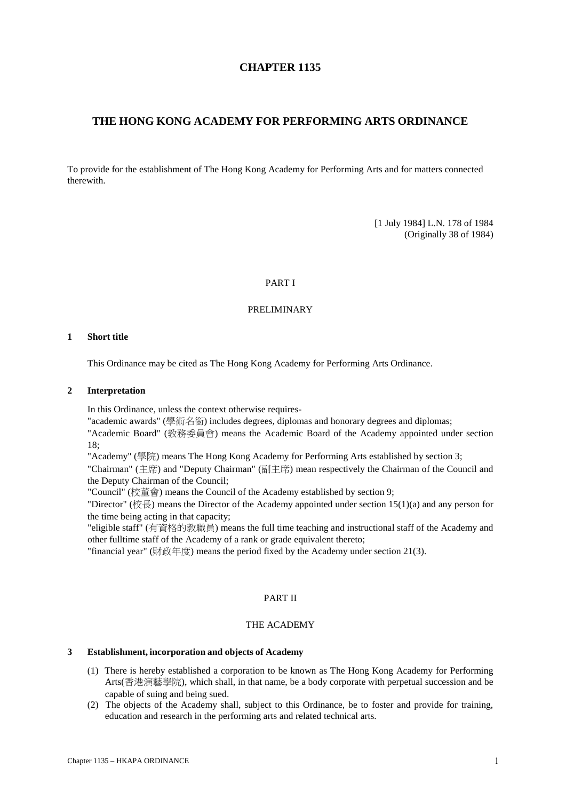# **CHAPTER 1135**

# **THE HONG KONG ACADEMY FOR PERFORMING ARTS ORDINANCE**

To provide for the establishment of The Hong Kong Academy for Performing Arts and for matters connected therewith.

> [1 July 1984] L.N. 178 of 1984 (Originally 38 of 1984)

#### PART I

#### PRELIMINARY

#### **1 Short title**

This Ordinance may be cited as The Hong Kong Academy for Performing Arts Ordinance.

### **2 Interpretation**

In this Ordinance, unless the context otherwise requires-

"academic awards" (學術名銜) includes degrees, diplomas and honorary degrees and diplomas;

"Academic Board" (教務委員會) means the Academic Board of the Academy appointed under section 18;

"Academy" (學院) means The Hong Kong Academy for Performing Arts established by section 3;

"Chairman" (主席) and "Deputy Chairman" (副主席) mean respectively the Chairman of the Council and the Deputy Chairman of the Council;

"Council" (校董會) means the Council of the Academy established by section 9;

"Director" (校長) means the Director of the Academy appointed under section 15(1)(a) and any person for the time being acting in that capacity;

"eligible staff" (有資格的教職員) means the full time teaching and instructional staff of the Academy and other fulltime staff of the Academy of a rank or grade equivalent thereto;

"financial year" (財政年度) means the period fixed by the Academy under section 21(3).

# PART II

#### THE ACADEMY

### **3 Establishment, incorporation and objects of Academy**

- (1) There is hereby established a corporation to be known as The Hong Kong Academy for Performing Arts(香港演藝學院), which shall, in that name, be a body corporate with perpetual succession and be capable of suing and being sued.
- (2) The objects of the Academy shall, subject to this Ordinance, be to foster and provide for training, education and research in the performing arts and related technical arts.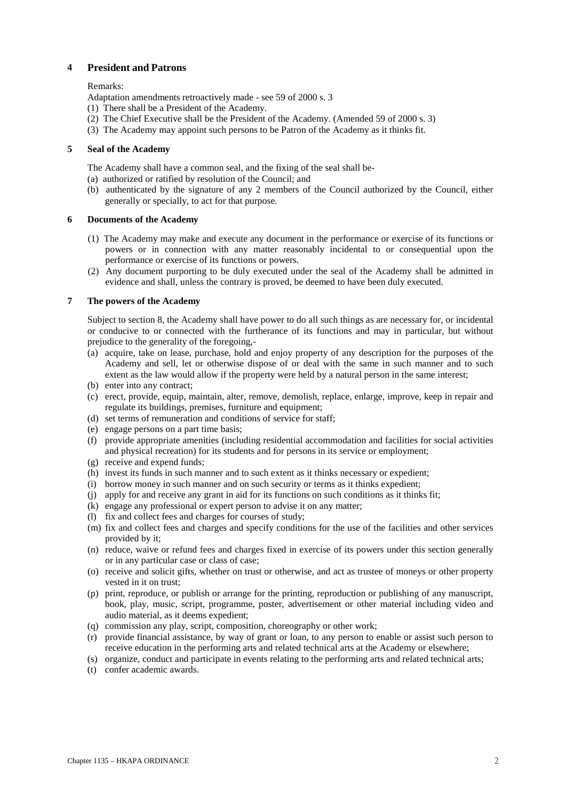# **4 President and Patrons**

### Remarks:

Adaptation amendments retroactively made - see 59 of 2000 s. 3

- (1) There shall be a President of the Academy.
- (2) The Chief Executive shall be the President of the Academy. (Amended 59 of 2000 s. 3)
- (3) The Academy may appoint such persons to be Patron of the Academy as it thinks fit.

#### **5 Seal of the Academy**

The Academy shall have a common seal, and the fixing of the seal shall be-

- (a) authorized or ratified by resolution of the Council; and
- (b) authenticated by the signature of any 2 members of the Council authorized by the Council, either generally or specially, to act for that purpose.

### **6 Documents of the Academy**

- (1) The Academy may make and execute any document in the performance or exercise of its functions or powers or in connection with any matter reasonably incidental to or consequential upon the performance or exercise of its functions or powers.
- (2) Any document purporting to be duly executed under the seal of the Academy shall be admitted in evidence and shall, unless the contrary is proved, be deemed to have been duly executed.

### **7 The powers of the Academy**

Subject to section 8, the Academy shall have power to do all such things as are necessary for, or incidental or conducive to or connected with the furtherance of its functions and may in particular, but without prejudice to the generality of the foregoing,-

- (a) acquire, take on lease, purchase, hold and enjoy property of any description for the purposes of the Academy and sell, let or otherwise dispose of or deal with the same in such manner and to such extent as the law would allow if the property were held by a natural person in the same interest;
- (b) enter into any contract;
- (c) erect, provide, equip, maintain, alter, remove, demolish, replace, enlarge, improve, keep in repair and regulate its buildings, premises, furniture and equipment;
- (d) set terms of remuneration and conditions of service for staff;
- (e) engage persons on a part time basis;
- (f) provide appropriate amenities (including residential accommodation and facilities for social activities and physical recreation) for its students and for persons in its service or employment;
- (g) receive and expend funds;
- (h) invest its funds in such manner and to such extent as it thinks necessary or expedient;
- (i) borrow money in such manner and on such security or terms as it thinks expedient;
- (j) apply for and receive any grant in aid for its functions on such conditions as it thinks fit;
- (k) engage any professional or expert person to advise it on any matter;
- (l) fix and collect fees and charges for courses of study;
- (m) fix and collect fees and charges and specify conditions for the use of the facilities and other services provided by it;
- (n) reduce, waive or refund fees and charges fixed in exercise of its powers under this section generally or in any particular case or class of case;
- (o) receive and solicit gifts, whether on trust or otherwise, and act as trustee of moneys or other property vested in it on trust;
- (p) print, reproduce, or publish or arrange for the printing, reproduction or publishing of any manuscript, book, play, music, script, programme, poster, advertisement or other material including video and audio material, as it deems expedient;
- (q) commission any play, script, composition, choreography or other work;
- (r) provide financial assistance, by way of grant or loan, to any person to enable or assist such person to receive education in the performing arts and related technical arts at the Academy or elsewhere;
- (s) organize, conduct and participate in events relating to the performing arts and related technical arts;
- (t) confer academic awards.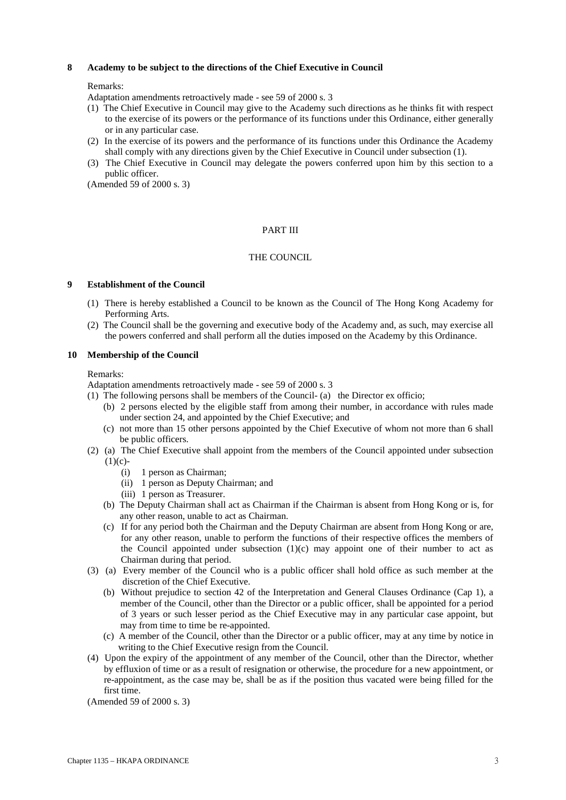### **8 Academy to be subject to the directions of the Chief Executive in Council**

### Remarks:

Adaptation amendments retroactively made - see 59 of 2000 s. 3

- (1) The Chief Executive in Council may give to the Academy such directions as he thinks fit with respect to the exercise of its powers or the performance of its functions under this Ordinance, either generally or in any particular case.
- (2) In the exercise of its powers and the performance of its functions under this Ordinance the Academy shall comply with any directions given by the Chief Executive in Council under subsection (1).
- (3) The Chief Executive in Council may delegate the powers conferred upon him by this section to a public officer.

(Amended 59 of 2000 s. 3)

## PART III

# THE COUNCIL

### **9 Establishment of the Council**

- (1) There is hereby established a Council to be known as the Council of The Hong Kong Academy for Performing Arts.
- (2) The Council shall be the governing and executive body of the Academy and, as such, may exercise all the powers conferred and shall perform all the duties imposed on the Academy by this Ordinance.

### **10 Membership of the Council**

### Remarks:

Adaptation amendments retroactively made - see 59 of 2000 s. 3

- (1) The following persons shall be members of the Council- (a) the Director ex officio;
	- (b) 2 persons elected by the eligible staff from among their number, in accordance with rules made under section 24, and appointed by the Chief Executive; and
	- (c) not more than 15 other persons appointed by the Chief Executive of whom not more than 6 shall be public officers.
- (2) (a) The Chief Executive shall appoint from the members of the Council appointed under subsection  $(1)(c)$ -
	- (i) 1 person as Chairman;
	- (ii) 1 person as Deputy Chairman; and
	- (iii) 1 person as Treasurer.
	- (b) The Deputy Chairman shall act as Chairman if the Chairman is absent from Hong Kong or is, for any other reason, unable to act as Chairman.
	- (c) If for any period both the Chairman and the Deputy Chairman are absent from Hong Kong or are, for any other reason, unable to perform the functions of their respective offices the members of the Council appointed under subsection  $(1)(c)$  may appoint one of their number to act as Chairman during that period.
- (3) (a) Every member of the Council who is a public officer shall hold office as such member at the discretion of the Chief Executive.
	- (b) Without prejudice to section 42 of the Interpretation and General Clauses Ordinance (Cap 1), a member of the Council, other than the Director or a public officer, shall be appointed for a period of 3 years or such lesser period as the Chief Executive may in any particular case appoint, but may from time to time be re-appointed.
	- (c) A member of the Council, other than the Director or a public officer, may at any time by notice in writing to the Chief Executive resign from the Council.
- (4) Upon the expiry of the appointment of any member of the Council, other than the Director, whether by effluxion of time or as a result of resignation or otherwise, the procedure for a new appointment, or re-appointment, as the case may be, shall be as if the position thus vacated were being filled for the first time.

(Amended 59 of 2000 s. 3)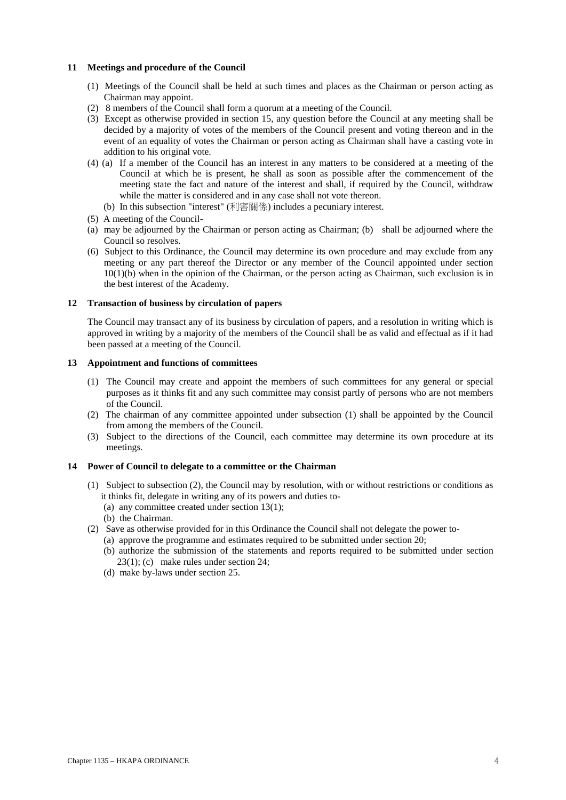### **11 Meetings and procedure of the Council**

- (1) Meetings of the Council shall be held at such times and places as the Chairman or person acting as Chairman may appoint.
- (2) 8 members of the Council shall form a quorum at a meeting of the Council.
- (3) Except as otherwise provided in section 15, any question before the Council at any meeting shall be decided by a majority of votes of the members of the Council present and voting thereon and in the event of an equality of votes the Chairman or person acting as Chairman shall have a casting vote in addition to his original vote.
- (4) (a) If a member of the Council has an interest in any matters to be considered at a meeting of the Council at which he is present, he shall as soon as possible after the commencement of the meeting state the fact and nature of the interest and shall, if required by the Council, withdraw while the matter is considered and in any case shall not vote thereon.
	- (b) In this subsection "interest" (利害關係) includes a pecuniary interest.
- (5) A meeting of the Council-
- (a) may be adjourned by the Chairman or person acting as Chairman; (b) shall be adjourned where the Council so resolves.
- (6) Subject to this Ordinance, the Council may determine its own procedure and may exclude from any meeting or any part thereof the Director or any member of the Council appointed under section  $10(1)(b)$  when in the opinion of the Chairman, or the person acting as Chairman, such exclusion is in the best interest of the Academy.

#### **12 Transaction of business by circulation of papers**

The Council may transact any of its business by circulation of papers, and a resolution in writing which is approved in writing by a majority of the members of the Council shall be as valid and effectual as if it had been passed at a meeting of the Council.

### **13 Appointment and functions of committees**

- (1) The Council may create and appoint the members of such committees for any general or special purposes as it thinks fit and any such committee may consist partly of persons who are not members of the Council.
- (2) The chairman of any committee appointed under subsection (1) shall be appointed by the Council from among the members of the Council.
- (3) Subject to the directions of the Council, each committee may determine its own procedure at its meetings.

#### **14 Power of Council to delegate to a committee or the Chairman**

- (1) Subject to subsection (2), the Council may by resolution, with or without restrictions or conditions as it thinks fit, delegate in writing any of its powers and duties to-
	- (a) any committee created under section 13(1);
	- (b) the Chairman.
- (2) Save as otherwise provided for in this Ordinance the Council shall not delegate the power to-
	- (a) approve the programme and estimates required to be submitted under section 20;
	- (b) authorize the submission of the statements and reports required to be submitted under section 23(1); (c) make rules under section 24;
	- (d) make by-laws under section 25.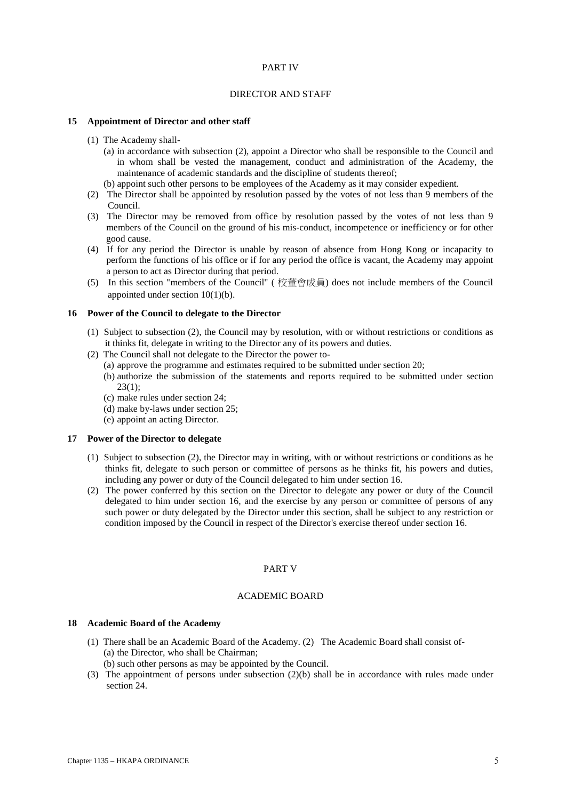### PART IV

### DIRECTOR AND STAFF

#### **15 Appointment of Director and other staff**

- (1) The Academy shall-
	- (a) in accordance with subsection (2), appoint a Director who shall be responsible to the Council and in whom shall be vested the management, conduct and administration of the Academy, the maintenance of academic standards and the discipline of students thereof;
	- (b) appoint such other persons to be employees of the Academy as it may consider expedient.
- (2) The Director shall be appointed by resolution passed by the votes of not less than 9 members of the Council.
- (3) The Director may be removed from office by resolution passed by the votes of not less than 9 members of the Council on the ground of his mis-conduct, incompetence or inefficiency or for other good cause.
- (4) If for any period the Director is unable by reason of absence from Hong Kong or incapacity to perform the functions of his office or if for any period the office is vacant, the Academy may appoint a person to act as Director during that period.
- (5) In this section "members of the Council" ( 校董會成員) does not include members of the Council appointed under section 10(1)(b).

#### **16 Power of the Council to delegate to the Director**

- (1) Subject to subsection (2), the Council may by resolution, with or without restrictions or conditions as it thinks fit, delegate in writing to the Director any of its powers and duties.
- (2) The Council shall not delegate to the Director the power to-
	- (a) approve the programme and estimates required to be submitted under section 20;
	- (b) authorize the submission of the statements and reports required to be submitted under section 23(1);
	- (c) make rules under section 24;
	- (d) make by-laws under section 25;
	- (e) appoint an acting Director.

#### **17 Power of the Director to delegate**

- (1) Subject to subsection (2), the Director may in writing, with or without restrictions or conditions as he thinks fit, delegate to such person or committee of persons as he thinks fit, his powers and duties, including any power or duty of the Council delegated to him under section 16.
- (2) The power conferred by this section on the Director to delegate any power or duty of the Council delegated to him under section 16, and the exercise by any person or committee of persons of any such power or duty delegated by the Director under this section, shall be subject to any restriction or condition imposed by the Council in respect of the Director's exercise thereof under section 16.

### PART V

### ACADEMIC BOARD

#### **18 Academic Board of the Academy**

- (1) There shall be an Academic Board of the Academy. (2) The Academic Board shall consist of- (a) the Director, who shall be Chairman;
	- (b) such other persons as may be appointed by the Council.
- (3) The appointment of persons under subsection (2)(b) shall be in accordance with rules made under section 24.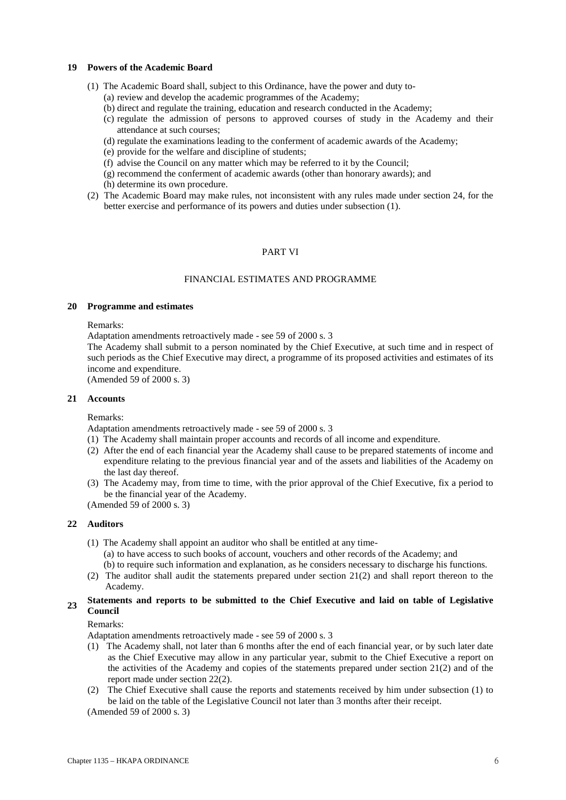### **19 Powers of the Academic Board**

- (1) The Academic Board shall, subject to this Ordinance, have the power and duty to-
	- (a) review and develop the academic programmes of the Academy;
	- (b) direct and regulate the training, education and research conducted in the Academy;
	- (c) regulate the admission of persons to approved courses of study in the Academy and their attendance at such courses;
	- (d) regulate the examinations leading to the conferment of academic awards of the Academy;
	- (e) provide for the welfare and discipline of students;
	- (f) advise the Council on any matter which may be referred to it by the Council;
	- (g) recommend the conferment of academic awards (other than honorary awards); and
	- (h) determine its own procedure.
- (2) The Academic Board may make rules, not inconsistent with any rules made under section 24, for the better exercise and performance of its powers and duties under subsection (1).

# PART VI

# FINANCIAL ESTIMATES AND PROGRAMME

### **20 Programme and estimates**

#### Remarks:

Adaptation amendments retroactively made - see 59 of 2000 s. 3

The Academy shall submit to a person nominated by the Chief Executive, at such time and in respect of such periods as the Chief Executive may direct, a programme of its proposed activities and estimates of its income and expenditure.

(Amended 59 of 2000 s. 3)

#### **21 Accounts**

#### Remarks:

Adaptation amendments retroactively made - see 59 of 2000 s. 3

- (1) The Academy shall maintain proper accounts and records of all income and expenditure.
- (2) After the end of each financial year the Academy shall cause to be prepared statements of income and expenditure relating to the previous financial year and of the assets and liabilities of the Academy on the last day thereof.
- (3) The Academy may, from time to time, with the prior approval of the Chief Executive, fix a period to be the financial year of the Academy.

(Amended 59 of 2000 s. 3)

## **22 Auditors**

- (1) The Academy shall appoint an auditor who shall be entitled at any time-
	- (a) to have access to such books of account, vouchers and other records of the Academy; and (b) to require such information and explanation, as he considers necessary to discharge his functions.
- (2) The auditor shall audit the statements prepared under section 21(2) and shall report thereon to the Academy.

# **<sup>23</sup> Statements and reports to be submitted to the Chief Executive and laid on table of Legislative Council**

Remarks:

Adaptation amendments retroactively made - see 59 of 2000 s. 3

- (1) The Academy shall, not later than 6 months after the end of each financial year, or by such later date as the Chief Executive may allow in any particular year, submit to the Chief Executive a report on the activities of the Academy and copies of the statements prepared under section  $21(2)$  and of the report made under section 22(2).
- (2) The Chief Executive shall cause the reports and statements received by him under subsection (1) to be laid on the table of the Legislative Council not later than 3 months after their receipt.

(Amended 59 of 2000 s. 3)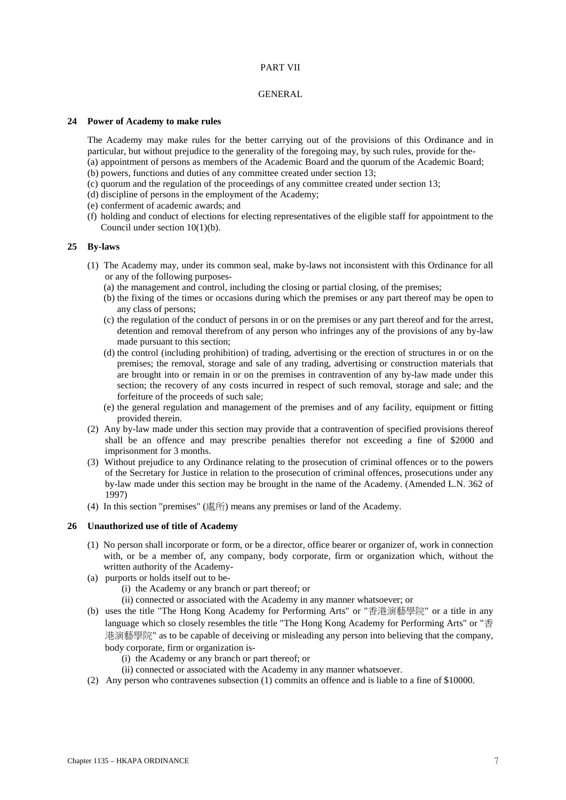## PART VII

### GENERAL

#### **24 Power of Academy to make rules**

The Academy may make rules for the better carrying out of the provisions of this Ordinance and in particular, but without prejudice to the generality of the foregoing may, by such rules, provide for the- (a) appointment of persons as members of the Academic Board and the quorum of the Academic Board; (b) powers, functions and duties of any committee created under section 13;

- (c) quorum and the regulation of the proceedings of any committee created under section 13;
- (d) discipline of persons in the employment of the Academy;
- (e) conferment of academic awards; and
- (f) holding and conduct of elections for electing representatives of the eligible staff for appointment to the Council under section 10(1)(b).

### **25 By-laws**

- (1) The Academy may, under its common seal, make by-laws not inconsistent with this Ordinance for all or any of the following purposes-
	- (a) the management and control, including the closing or partial closing, of the premises;
	- (b) the fixing of the times or occasions during which the premises or any part thereof may be open to any class of persons;
	- (c) the regulation of the conduct of persons in or on the premises or any part thereof and for the arrest, detention and removal therefrom of any person who infringes any of the provisions of any by-law made pursuant to this section;
	- (d) the control (including prohibition) of trading, advertising or the erection of structures in or on the premises; the removal, storage and sale of any trading, advertising or construction materials that are brought into or remain in or on the premises in contravention of any by-law made under this section; the recovery of any costs incurred in respect of such removal, storage and sale; and the forfeiture of the proceeds of such sale;
	- (e) the general regulation and management of the premises and of any facility, equipment or fitting provided therein.
- (2) Any by-law made under this section may provide that a contravention of specified provisions thereof shall be an offence and may prescribe penalties therefor not exceeding a fine of \$2000 and imprisonment for 3 months.
- (3) Without prejudice to any Ordinance relating to the prosecution of criminal offences or to the powers of the Secretary for Justice in relation to the prosecution of criminal offences, prosecutions under any by-law made under this section may be brought in the name of the Academy. (Amended L.N. 362 of 1997)
- (4) In this section "premises" (處所) means any premises or land of the Academy.

### **26 Unauthorized use of title of Academy**

- (1) No person shall incorporate or form, or be a director, office bearer or organizer of, work in connection with, or be a member of, any company, body corporate, firm or organization which, without the written authority of the Academy-
- (a) purports or holds itself out to be-
	- (i) the Academy or any branch or part thereof; or
	- (ii) connected or associated with the Academy in any manner whatsoever; or
- (b) uses the title "The Hong Kong Academy for Performing Arts" or "香港演藝學院" or a title in any language which so closely resembles the title "The Hong Kong Academy for Performing Arts" or "香 港演藝學院" as to be capable of deceiving or misleading any person into believing that the company, body corporate, firm or organization is-
	- (i) the Academy or any branch or part thereof; or
	- (ii) connected or associated with the Academy in any manner whatsoever.
- (2) Any person who contravenes subsection (1) commits an offence and is liable to a fine of \$10000.